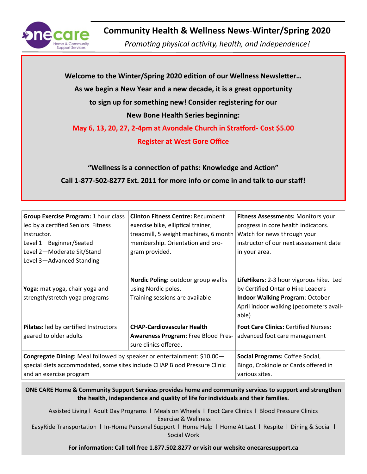

# **Community Health & Wellness News**-**Winter/Spring 2020**

*Promoting physical activity, health, and independence!*

**Welcome to the Winter/Spring 2020 edition of our Wellness Newsletter… As we begin a New Year and a new decade, it is a great opportunity to sign up for something new! Consider registering for our New Bone Health Series beginning: May 6, 13, 20, 27, 2-4pm at Avondale Church in Stratford- Cost \$5.00 Register at West Gore Office "Wellness is a connection of paths: Knowledge and Action"**

**Call 1-877-502-8277 Ext. 2011 for more info or come in and talk to our staff!**

| <b>Group Exercise Program: 1 hour class</b><br>led by a certified Seniors Fitness<br>Instructor.<br>Level 1-Beginner/Seated<br>Level 2-Moderate Sit/Stand<br>Level 3-Advanced Standing | <b>Clinton Fitness Centre: Recumbent</b><br>exercise bike, elliptical trainer,<br>treadmill, 5 weight machines, 6 month<br>membership. Orientation and pro-<br>gram provided. | Fitness Assessments: Monitors your<br>progress in core health indicators.<br>Watch for news through your<br>instructor of our next assessment date<br>in your area.          |
|----------------------------------------------------------------------------------------------------------------------------------------------------------------------------------------|-------------------------------------------------------------------------------------------------------------------------------------------------------------------------------|------------------------------------------------------------------------------------------------------------------------------------------------------------------------------|
| Yoga: mat yoga, chair yoga and<br>strength/stretch yoga programs                                                                                                                       | Nordic Poling: outdoor group walks<br>using Nordic poles.<br>Training sessions are available                                                                                  | LifeHikers: 2-3 hour vigorous hike. Led<br>by Certified Ontario Hike Leaders<br><b>Indoor Walking Program: October -</b><br>April indoor walking (pedometers avail-<br>able) |
| Pilates: led by certified Instructors<br>geared to older adults                                                                                                                        | <b>CHAP-Cardiovascular Health</b><br><b>Awareness Program: Free Blood Pres-</b><br>sure clinics offered.                                                                      | <b>Foot Care Clinics: Certified Nurses:</b><br>advanced foot care management                                                                                                 |
| Congregate Dining: Meal followed by speaker or entertainment: \$10.00-<br>special diets accommodated, some sites include CHAP Blood Pressure Clinic<br>and an exercise program         | Social Programs: Coffee Social,<br>Bingo, Crokinole or Cards offered in<br>various sites.                                                                                     |                                                                                                                                                                              |

**ONE CARE Home & Community Support Services provides home and community services to support and strengthen the health, independence and quality of life for individuals and their families.** 

Assisted Living l Adult Day Programs l Meals on Wheels l Foot Care Clinics l Blood Pressure Clinics Exercise & Wellness

EasyRide Transportation l In-Home Personal Support l Home Help l Home At Last l Respite l Dining & Social l Social Work

**For information: Call toll free 1.877.502.8277 or visit our website onecaresupport.ca**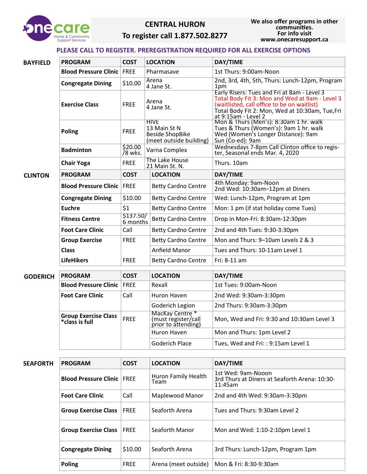

#### **CENTRAL HURON**

## **To register call 1.877.502.8277**

## **PLEASE CALL TO REGISTER. PREREGISTRATION REQUIRED FOR ALL EXERCISE OPTIONS**

| <b>BAYFIELD</b> | <b>PROGRAM</b>                                | <b>COST</b>           | <b>LOCATION</b>                                                                  | DAY/TIME                                                                                                                                                                                                               |
|-----------------|-----------------------------------------------|-----------------------|----------------------------------------------------------------------------------|------------------------------------------------------------------------------------------------------------------------------------------------------------------------------------------------------------------------|
|                 | <b>Blood Pressure Clinic</b>                  | FREE                  | Pharmasave                                                                       | 1st Thurs: 9:00am-Noon                                                                                                                                                                                                 |
|                 | <b>Congregate Dining</b>                      | \$10.00               | Arena<br>4 Jane St.                                                              | 2nd, 3rd, 4th, 5th, Thurs: Lunch-12pm, Program<br>1pm                                                                                                                                                                  |
|                 | <b>Exercise Class</b>                         | <b>FREE</b>           | Arena<br>4 Jane St.                                                              | Early Risers: Tues and Fri at 8am - Level 3<br>Total Body Fit 3: Mon and Wed at 9am - Level 3<br>(waitlisted, call office to be on waitlist)<br>Total Body Fit 2: Mon, Wed at 10:30am, Tue, Fri<br>at 9:15am - Level 2 |
|                 | <b>Poling</b>                                 | <b>FREE</b>           | <b>HIVE</b><br>13 Main St N<br><b>Beside ShopBike</b><br>(meet outside building) | Mon & Thurs (Men's): 8:30am 1 hr. walk<br>Tues & Thurs (Women's): 9am 1 hr. walk<br>Wed (Women's Longer Distance): 9am<br>Sun (Co-ed): 9am                                                                             |
|                 | <b>Badminton</b>                              | \$20.00<br>/8 wks.    | Varna Complex                                                                    | Wednesdays 7-8pm Call Clinton office to regis-<br>ter, Seasonal ends Mar. 4, 2020                                                                                                                                      |
|                 | <b>Chair Yoga</b>                             | <b>FREE</b>           | The Lake House<br>21 Main St. N.                                                 | Thurs. 10am                                                                                                                                                                                                            |
| <b>CLINTON</b>  | <b>PROGRAM</b>                                | <b>COST</b>           | <b>LOCATION</b>                                                                  | DAY/TIME                                                                                                                                                                                                               |
|                 | <b>Blood Pressure Clinic</b>                  | <b>FREE</b>           | <b>Betty Cardno Centre</b>                                                       | 4th Monday: 9am-Noon<br>2nd Wed: 10:30am-12pm at Diners                                                                                                                                                                |
|                 | <b>Congregate Dining</b>                      | \$10.00               | <b>Betty Cardno Centre</b>                                                       | Wed: Lunch-12pm, Program at 1pm                                                                                                                                                                                        |
|                 | <b>Euchre</b>                                 | \$1                   | <b>Betty Cardno Centre</b>                                                       | Mon: 1 pm (if stat holiday come Tues)                                                                                                                                                                                  |
|                 | <b>Fitness Centre</b>                         | \$137.50/<br>6 months | <b>Betty Cardno Centre</b>                                                       | Drop in Mon-Fri: 8:30am-12:30pm                                                                                                                                                                                        |
|                 | <b>Foot Care Clinic</b>                       | Call                  | <b>Betty Cardno Centre</b>                                                       | 2nd and 4th Tues: 9:30-3:30pm                                                                                                                                                                                          |
|                 | <b>Group Exercise</b>                         | <b>FREE</b>           | <b>Betty Cardno Centre</b>                                                       | Mon and Thurs: 9-10am Levels 2 & 3                                                                                                                                                                                     |
|                 | <b>Class</b>                                  |                       | Anfield Manor                                                                    | Tues and Thurs: 10-11am Level 1                                                                                                                                                                                        |
|                 | <b>LifeHikers</b>                             | <b>FREE</b>           | <b>Betty Cardno Centre</b>                                                       | Fri: 8-11 am                                                                                                                                                                                                           |
| <b>GODERICH</b> | <b>PROGRAM</b>                                | <b>COST</b>           | <b>LOCATION</b>                                                                  | DAY/TIME                                                                                                                                                                                                               |
|                 | <b>Blood Pressure Clinic</b>                  | <b>FREE</b>           | Rexall                                                                           | 1st Tues: 9:00am-Noon                                                                                                                                                                                                  |
|                 | <b>Foot Care Clinic</b>                       | Call                  | Huron Haven                                                                      | 2nd Wed: 9:30am-3:30pm                                                                                                                                                                                                 |
|                 |                                               |                       | Goderich Legion                                                                  | 2nd Thurs: 9:30am-3:30pm                                                                                                                                                                                               |
|                 | <b>Group Exercise Class</b><br>*class is full | <b>FREE</b>           | MacKay Centre*<br>(must register/call<br>prior to attending)                     | Mon, Wed and Fri: 9:30 and 10:30am Level 3                                                                                                                                                                             |
|                 |                                               |                       | Huron Haven                                                                      | Mon and Thurs: 1pm Level 2                                                                                                                                                                                             |
|                 |                                               |                       | <b>Goderich Place</b>                                                            | Tues, Wed and Fri: : 9:15am Level 1                                                                                                                                                                                    |
|                 |                                               |                       |                                                                                  |                                                                                                                                                                                                                        |
| <b>SEAFORTH</b> | <b>PROGRAM</b>                                | <b>COST</b>           | <b>LOCATION</b>                                                                  | DAY/TIME                                                                                                                                                                                                               |
|                 | <b>Blood Pressure Clinic</b>                  | <b>FREE</b>           | Huron Family Health<br>Team                                                      | 1st Wed: 9am-Nooon<br>3rd Thurs at Diners at Seaforth Arena: 10:30-<br>11:45am                                                                                                                                         |
|                 | <b>Foot Care Clinic</b>                       | Call                  | Maplewood Manor                                                                  | 2nd and 4th Wed: 9:30am-3:30pm                                                                                                                                                                                         |
|                 | <b>Group Exercise Class</b>                   | <b>FREE</b>           | Seaforth Arena                                                                   | Tues and Thurs: 9:30am Level 2                                                                                                                                                                                         |
|                 | <b>Group Exercise Class</b>                   | <b>FREE</b>           | Seaforth Manor                                                                   | Mon and Wed: 1:10-2:10pm Level 1                                                                                                                                                                                       |

**Congregate Dining** \$10.00 Seaforth Arena 3rd Thurs: Lunch-12pm, Program 1pm

**Poling** FREE Arena (meet outside) Mon & Fri: 8:30-9:30am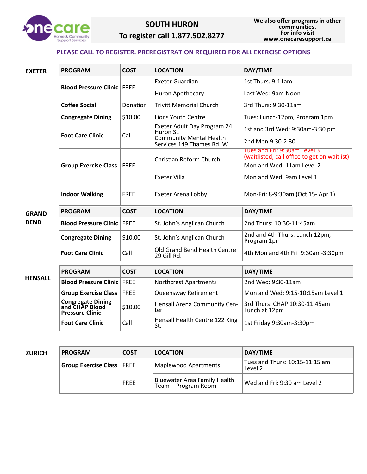

# **SOUTH HURON To register call 1.877.502.8277**

### **PLEASE CALL TO REGISTER. PREREGISTRATION REQUIRED FOR ALL EXERCISE OPTIONS**

| <b>EXETER</b>  | <b>PROGRAM</b>                                                        | <b>COST</b> | <b>LOCATION</b>                                                                                         | DAY/TIME                                                                     |
|----------------|-----------------------------------------------------------------------|-------------|---------------------------------------------------------------------------------------------------------|------------------------------------------------------------------------------|
|                | <b>Blood Pressure Clinic FREE</b>                                     |             | <b>Exeter Guardian</b>                                                                                  | 1st Thurs. 9-11am                                                            |
|                |                                                                       |             | Huron Apothecary                                                                                        | Last Wed: 9am-Noon                                                           |
|                | <b>Coffee Social</b>                                                  | Donation    | <b>Trivitt Memorial Church</b>                                                                          | 3rd Thurs: 9:30-11am                                                         |
|                | <b>Congregate Dining</b>                                              | \$10.00     | Lions Youth Centre                                                                                      | Tues: Lunch-12pm, Program 1pm                                                |
|                | <b>Foot Care Clinic</b>                                               | Call        | Exeter Adult Day Program 24<br>Huron St.<br><b>Community Mental Health</b><br>Services 149 Thames Rd. W | 1st and 3rd Wed: 9:30am-3:30 pm<br>2nd Mon 9:30-2:30                         |
|                |                                                                       |             | Christian Reform Church                                                                                 | Tues and Fri: 9:30am Level 3<br>(waitlisted, call office to get on waitlist) |
|                | <b>Group Exercise Class FREE</b>                                      |             |                                                                                                         | Mon and Wed: 11am Level 2                                                    |
|                |                                                                       |             | Exeter Villa                                                                                            | Mon and Wed: 9am Level 1                                                     |
|                | <b>Indoor Walking</b>                                                 | <b>FREE</b> | <b>Exeter Arena Lobby</b>                                                                               | Mon-Fri: 8-9:30am (Oct 15- Apr 1)                                            |
| <b>GRAND</b>   | <b>PROGRAM</b>                                                        | <b>COST</b> | <b>LOCATION</b>                                                                                         | DAY/TIME                                                                     |
| <b>BEND</b>    | <b>Blood Pressure Clinic</b>                                          | FREE        | St. John's Anglican Church                                                                              | 2nd Thurs: 10:30-11:45am                                                     |
|                | <b>Congregate Dining</b>                                              | \$10.00     | St. John's Anglican Church                                                                              | 2nd and 4th Thurs: Lunch 12pm,<br>Program 1pm                                |
|                | <b>Foot Care Clinic</b>                                               | Call        | Old Grand Bend Health Centre<br>29 Gill Rd.                                                             | 4th Mon and 4th Fri 9:30am-3:30pm                                            |
|                | <b>PROGRAM</b>                                                        | <b>COST</b> | <b>LOCATION</b>                                                                                         | DAY/TIME                                                                     |
| <b>HENSALL</b> | <b>Blood Pressure Clinic FREE</b>                                     |             | Northcrest Apartments                                                                                   | 2nd Wed: 9:30-11am                                                           |
|                | <b>Group Exercise Class</b>                                           | <b>FREE</b> | Queensway Retirement                                                                                    | Mon and Wed: 9:15-10:15am Level 1                                            |
|                | <b>Congregate Dining<br/>and CHAP Blood</b><br><b>Pressure Clinic</b> | \$10.00     | Hensall Arena Community Cen-<br>ter                                                                     | 3rd Thurs: CHAP 10:30-11:45am<br>Lunch at 12pm                               |
|                | <b>Foot Care Clinic</b>                                               | Call        | Hensall Health Centre 122 King<br>St.                                                                   | 1st Friday 9:30am-3:30pm                                                     |

| ZURICH | <b>PROGRAM</b>                   | <b>COST</b> | <b>LOCATION</b>                                            | DAY/TIME                                  |
|--------|----------------------------------|-------------|------------------------------------------------------------|-------------------------------------------|
|        | <b>Group Exercise Class FREE</b> |             | <b>Maplewood Apartments</b>                                | Tues and Thurs: 10:15-11:15 am<br>Level 2 |
|        |                                  | <b>FREE</b> | <b>Bluewater Area Family Health</b><br>Team - Program Room | Wed and Fri: 9:30 am Level 2              |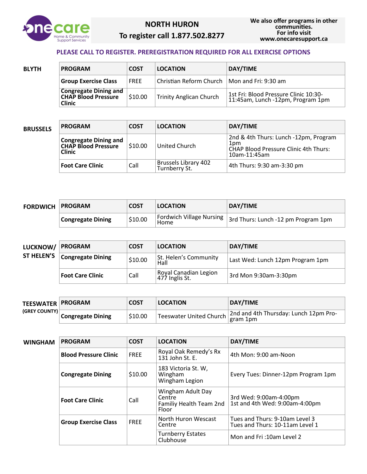

# **NORTH HURON To register call 1.877.502.8277**

#### **PLEASE CALL TO REGISTER. PREREGISTRATION REQUIRED FOR ALL EXERCISE OPTIONS**

| <b>BLYTH</b> | <b>PROGRAM</b>                                                              | <b>COST</b> | <b>LOCATION</b>                | DAY/TIME                                                                   |
|--------------|-----------------------------------------------------------------------------|-------------|--------------------------------|----------------------------------------------------------------------------|
|              | <b>Group Exercise Class</b>                                                 | <b>FREE</b> | Christian Reform Church        | Mon and Fri: 9:30 am                                                       |
|              | <b>Congregate Dining and</b><br><b>CHAP Blood Pressure</b><br><b>Clinic</b> | \$10.00     | <b>Trinity Anglican Church</b> | 1st Fri: Blood Pressure Clinic 10:30-<br>11:45am, Lunch -12pm, Program 1pm |

| <b>BRUSSELS</b> | <b>PROGRAM</b>                                                              | <b>COST</b> | <b>LOCATION</b>                       | DAY/TIME                                                                                                     |
|-----------------|-----------------------------------------------------------------------------|-------------|---------------------------------------|--------------------------------------------------------------------------------------------------------------|
|                 | <b>Congregate Dining and</b><br><b>CHAP Blood Pressure</b><br><b>Clinic</b> | \$10.00     | United Church                         | 2nd & 4th Thurs: Lunch -12pm, Program<br>1pm<br><b>CHAP Blood Pressure Clinic 4th Thurs:</b><br>10am-11:45am |
|                 | <b>Foot Care Clinic</b>                                                     | Call        | Brussels Library 402<br>Turnberry St. | 4th Thurs: 9:30 am-3:30 pm                                                                                   |

| <b>FORDWICH PROGRAM</b> |                          | <b>COST</b> | <b>LOCATION</b>                  | DAY/TIME                            |
|-------------------------|--------------------------|-------------|----------------------------------|-------------------------------------|
|                         | <b>Congregate Dining</b> | 510.00      | Fordwich Village Nursing<br>Home | 3rd Thurs: Lunch -12 pm Program 1pm |

| LUCKNOW/          | <b>PROGRAM</b>           | <b>COST</b> | <b>LOCATION</b>                         | DAY/TIME                         |
|-------------------|--------------------------|-------------|-----------------------------------------|----------------------------------|
| <b>ST HELEN'S</b> | <b>Congregate Dining</b> | \$10.00     | St. Helen's Community<br>Hall           | Last Wed: Lunch 12pm Program 1pm |
|                   | <b>Foot Care Clinic</b>  | Call        | Royal Canadian Legion<br>477 Inglis St. | 3rd Mon 9:30am-3:30pm            |

| <b>TEESWATER PROGRAM</b> |                   | <b>COST</b> | <b>LOCATION</b> | DAY/TIME                                                                                                                                                                                                                                                                |
|--------------------------|-------------------|-------------|-----------------|-------------------------------------------------------------------------------------------------------------------------------------------------------------------------------------------------------------------------------------------------------------------------|
| <b>(GREY COUNTY)</b>     | Congregate Dining | \$10.00     |                 | Teeswater United Church $\begin{vmatrix} 2 \text{nd} & \text{and} & 4 \text{th} \\ \text{gram 1}\text{pm} & \text{B} \end{vmatrix}$ Teeswater United Church $\begin{vmatrix} 2 \text{nd} & \text{and} & 4 \text{th} \\ \text{gram 1}\text{pm} & \text{B} \end{vmatrix}$ |

| WINGHAM | <b>PROGRAM</b>               | <b>COST</b> | <b>LOCATION</b>                                                 | DAY/TIME                                                          |
|---------|------------------------------|-------------|-----------------------------------------------------------------|-------------------------------------------------------------------|
|         | <b>Blood Pressure Clinic</b> | <b>FREE</b> | Royal Oak Remedy's Rx<br>$131$ John St. E.                      | 4th Mon: 9:00 am-Noon                                             |
|         | <b>Congregate Dining</b>     | \$10.00     | 183 Victoria St. W,<br>Wingham<br>Wingham Legion                | Every Tues: Dinner-12pm Program 1pm                               |
|         | <b>Foot Care Clinic</b>      | Call        | Wingham Adult Day<br>Centre<br>Familiy Health Team 2nd<br>Floor | 3rd Wed: 9:00am-4:00pm<br>1st and 4th Wed: 9:00am-4:00pm          |
|         | <b>Group Exercise Class</b>  | <b>FREE</b> | North Huron Wescast<br>Centre                                   | Tues and Thurs: 9-10am Level 3<br>Tues and Thurs: 10-11am Level 1 |
|         |                              |             | <b>Turnberry Estates</b><br>Clubhouse                           | Mon and Fri: 10am Level 2                                         |